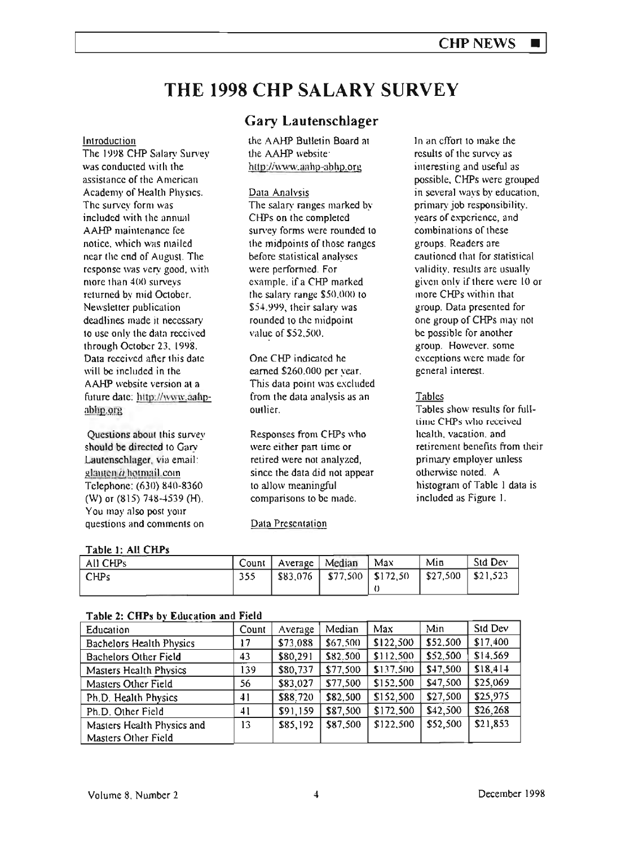# THE 1998 CHP SALARY SURVEY

#### Introduction

The 1998 CHP Salary Survey was conducted with the assistance of the American Academy of Health Physics. The survey form was included with the annual AAHP maintenance fee notice. which was mailed ncar the end of August. The responsc was very good. with more than  $400$  surveys returned by mid October. Newsletter publication deadlines made it necessary to usc only the data received through October 23. 1998. Data received after Ihis dale will be included in the AAHP website version at a future date: http://www.aahpablip.org

Questions about this survey should be directed to Gary Lautenschlager. via email: glauten  $\dot{a}$  hotmail.com Telephone: (630) 840·8360 (W) or (815) 748-4539 (H). You may also post your questions and comments on

## Gary Lautenschlager

the AAHP Bulletin Board at the AAHP website: http://www.aahp-abhp.org

#### Data Analysis

The salary ranges marked by CHPs on the completed survey forms were rounded to. the midpoints of those ranges before statistical analyses were performed. For example, if a CHP marked the salary range  $$50,000$  to  $$54.999$ , their salary was rounded to the midpoint value of \$52.500.

One CHP indicated he earned \$260.000 per year. This data point was excluded from the data analysis as an outlier.

Responses from CHPs who were either part time or retired were not analyzed. since the data did not appear to allow meaningful comparisons to be made.

## **Data Presentation**

In an effort to make the results of the survey as interesting and useful as possible. CHPs were grouped in several ways by education. primary job rcsponsibility, years of experience, and combinations of these groups. Readers are cautioned that for statistical validity, results are usually given only if there were 10 or more CHPs within that group. Data presented for one group of CHPs may not be possible for another group. However. some exceptions were made for general interest.

## **Tables**

Tables show results for fulllime CHPs who received. health. vacation, and retirement benefits from their primary employer unless othcrwise noted. A histogram of Table I data is included as Figure I.

#### Table 1: All CHPs

| All CHPs | Count   Average   Median | $^{\circ}$ Max                                                     | Min | Std Dev |
|----------|--------------------------|--------------------------------------------------------------------|-----|---------|
| ' CHPs   |                          | $\frac{1}{2}$ \$83,076   \$77,500   \$172,50   \$27,500   \$21,523 |     |         |
|          |                          |                                                                    |     |         |

| rabic 2. Chu 3 o'i Cuntanon and ricid |       |          |          |           |          |           |  |  |  |  |
|---------------------------------------|-------|----------|----------|-----------|----------|-----------|--|--|--|--|
| Education                             | Count | Average  | Median   | Max       | Min      | Std Dev   |  |  |  |  |
| Bachelors Health Physics              | 17    | \$73,088 | \$67,500 | \$122.500 | \$52,500 | \$17,400  |  |  |  |  |
| <b>Bachelors Other Field</b>          | 43    | \$80,291 | \$82.500 | \$112,500 | \$52,500 | \$14,569  |  |  |  |  |
| Masters Health Physics                | 139   | \$80,737 | \$77,500 | \$137,500 | \$47,500 | \$18, 414 |  |  |  |  |
| Masters Other Field                   | 56    | \$83,027 | \$77,500 | \$152,500 | \$47,500 | \$25,069  |  |  |  |  |
| Ph.D. Health Physics                  | 41    | \$88,720 | \$82,500 | \$152,500 | \$27,500 | \$25,975  |  |  |  |  |
| Ph.D. Other Field                     | 41    | \$91,159 | \$87,500 | \$172,500 | \$42,500 | \$26,268  |  |  |  |  |
| Masters Health Physics and            | 13    | \$85,192 | \$87,500 | \$122,500 | \$52,500 | \$21,853  |  |  |  |  |
| Masters Other Field                   |       |          |          |           |          |           |  |  |  |  |

#### Table 2: CHD, by Education and Field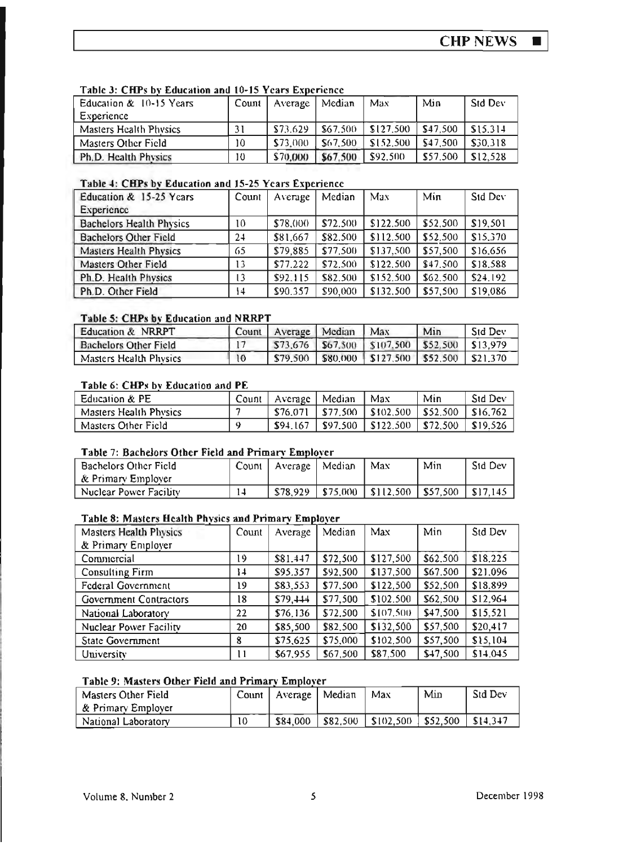$\blacksquare$ 

| Education & 10-15 Years       | Count | Average  | Median   | Max       | Min      | Std Dev  |  |  |  |  |
|-------------------------------|-------|----------|----------|-----------|----------|----------|--|--|--|--|
| Experience                    |       |          |          |           |          |          |  |  |  |  |
| <b>Masters Health Physics</b> | 31    | \$73.629 | \$67.500 | \$127.500 | \$47.500 | \$15.314 |  |  |  |  |
| Masters Other Field           | 10    | \$73,000 | \$67.500 | \$152.500 | \$47.500 | \$30.318 |  |  |  |  |
| Ph.D. Health Physics          | 10    | \$70,000 | \$67.500 | \$92,500  | \$57.500 | \$12.528 |  |  |  |  |

## Table 3: CHPs by Education and 10-15 Years Experience

## Table 4: CHPs by Education and 15-25 Years Experience

| Education & 15-25 Years         | Count | Average  | Median   | Max       | Min      | Std Dev  |
|---------------------------------|-------|----------|----------|-----------|----------|----------|
| Experience                      |       |          |          |           |          |          |
| <b>Bachelors Health Physics</b> | 10    | \$78,000 | \$72.500 | \$122.500 | \$52.500 | \$19,501 |
| <b>Bachelors Other Field</b>    | 24    | \$81,667 | \$82.500 | \$112.500 | \$52.500 | \$15,370 |
| <b>Masters Health Physics</b>   | 65    | \$79,885 | \$77,500 | \$137,500 | \$57,500 | \$16,656 |
| Masters Other Field             | 13    | \$77.222 | \$72.500 | \$122,500 | \$47.500 | \$18,588 |
| Ph.D. Health Physics            | 13    | \$92.115 | \$82.500 | \$152.500 | \$62.500 | \$24.192 |
| Ph.D. Other Field               | 14    | \$90,357 | \$90,000 | \$132,500 | \$57,500 | \$19,086 |

## Table 5: CHPs by Education and NRRPT

| Education & NRRPT            | Count           | Average Median | Max                                                    | Min | <b>Std Dev</b> |
|------------------------------|-----------------|----------------|--------------------------------------------------------|-----|----------------|
| <b>Bachelors Other Field</b> |                 |                | $$73.676$   \$67.500   \$107.500   \$52.500   \$13.979 |     |                |
| Masters Health Physics       | $\overline{10}$ | \$79,500       | $ $ \$80,000 $ $ \$127,500 $ $ \$52,500 $ $ \$21,370   |     |                |

## Table 6: CHPs by Education and PE

| Education & PE         | Count | Average   Median | Max                              | Min      | <b>Std Dev</b> |
|------------------------|-------|------------------|----------------------------------|----------|----------------|
| Masters Health Physics |       |                  | $$76,071$   \$77,500   \$102,500 | \$52,500 | SI6.762        |
| Masters Other Field    |       | \$94.167         | \$97.500   \$122.500             | \$72.500 | \$19.526       |

## Table 7: Bachelors Other Field and Primary Employer

| Bachelors Other Field<br>  & Primary Employer |    | Count   Average | Median | Max                             | Min | <b>Std Dev</b> |
|-----------------------------------------------|----|-----------------|--------|---------------------------------|-----|----------------|
| Nuclear Power Facility                        | 14 | \$78.929        |        | \$75,000   \$112,500   \$57,500 |     | $1$ \$17.145   |

#### Table 8: Masters Health Physics and Primary Employer

| <b>Masters Health Physics</b> | Count | Average  | Median   | Max       | Min      | Std Dev  |
|-------------------------------|-------|----------|----------|-----------|----------|----------|
| & Primary Employer            |       |          |          |           |          |          |
| Commercial                    | 19    | \$81.447 | \$72,500 | \$127,500 | \$62,500 | \$18.225 |
| Consulting Firm               | 14    | \$95.357 | \$92,500 | \$137,500 | \$67.500 | \$21.096 |
| <b>Federal Government</b>     | 19    | \$83,553 | \$77,500 | \$122,500 | \$52,500 | \$18.899 |
| <b>Government Contractors</b> | 18    | \$79,444 | \$77,500 | \$102.500 | \$62,500 | \$12,964 |
| National Laboratory           | 22    | \$76,136 | \$72,500 | \$107,500 | \$47,500 | \$15,521 |
| Nuclear Power Facility        | 20    | \$85,500 | \$82,500 | \$132,500 | \$57,500 | \$20,417 |
| State Government              | 8     | \$75,625 | \$75,000 | \$102,500 | \$57,500 | \$15,104 |
| University                    | Ħ     | \$67,955 | \$67,500 | \$87,500  | \$47,500 | \$14,045 |

#### Table 9: Masters Other Field and Primary Employer

| 'Masters Other Field | $Count \mid$ | Average   Median |          | Max                   | Min          | <b>Std Dev</b> |
|----------------------|--------------|------------------|----------|-----------------------|--------------|----------------|
| ∣& Primary Employer  |              |                  |          |                       |              |                |
| National Laboratory  | 10           | \$84,000         | \$82.500 | $\parallel$ \$102,500 | $ $ \$52,500 | $$14.3+7$      |